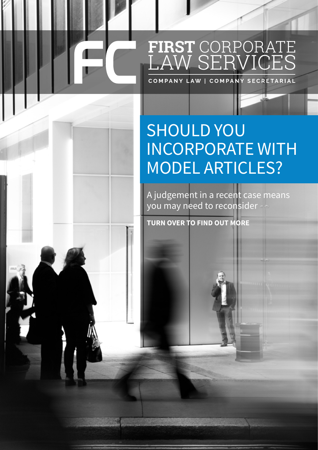## FIRST CORPORATE<br>LAW SERVICES

## SHOULD YOU INCORPORATE WITH MODEL ARTICLES?

A judgement in a recent case means you may need to reconsider

**TURN OVER TO FIND OUT MORE**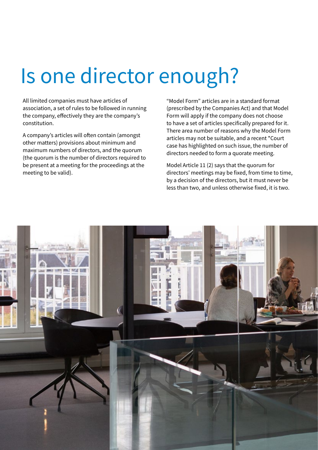## Is one director enough?

All limited companies must have articles of association, a set of rules to be followed in running the company, effectively they are the company's constitution.

A company's articles will often contain (amongst other matters) provisions about minimum and maximum numbers of directors, and the quorum (the quorum is the number of directors required to be present at a meeting for the proceedings at the meeting to be valid).

"Model Form" articles are in a standard format (prescribed by the Companies Act) and that Model Form will apply if the company does not choose to have a set of articles specifically prepared for it. There area number of reasons why the Model Form articles may not be suitable, and a recent \*Court case has highlighted on such issue, the number of directors needed to form a quorate meeting.

Model Article 11 (2) says that the quorum for directors' meetings may be fixed, from time to time, by a decision of the directors, but it must never be less than two, and unless otherwise fixed, it is two.

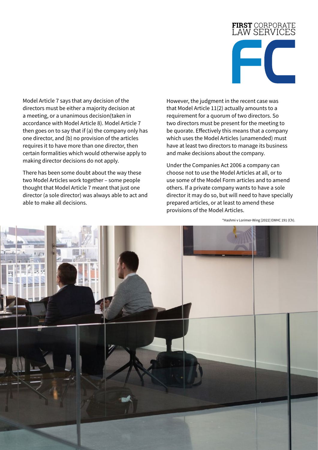

Model Article 7 says that any decision of the directors must be either a majority decision at a meeting, or a unanimous decision(taken in accordance with Model Article 8). Model Article 7 then goes on to say that if (a) the company only has one director, and (b) no provision of the articles requires it to have more than one director, then certain formalities which would otherwise apply to making director decisions do not apply.

There has been some doubt about the way these two Model Articles work together – some people thought that Model Article 7 meant that just one director (a sole director) was always able to act and able to make all decisions.

However, the judgment in the recent case was that Model Article 11(2) actually amounts to a requirement for a quorum of two directors. So two directors must be present for the meeting to be quorate. Effectively this means that a company which uses the Model Articles (unamended) must have at least two directors to manage its business and make decisions about the company.

Under the Companies Act 2006 a company can choose not to use the Model Articles at all, or to use some of the Model Form articles and to amend others. If a private company wants to have a sole director it may do so, but will need to have specially prepared articles, or at least to amend these provisions of the Model Articles.

\*Hashmi v Lorimer-Wing [2022] EWHC 191 (Ch).